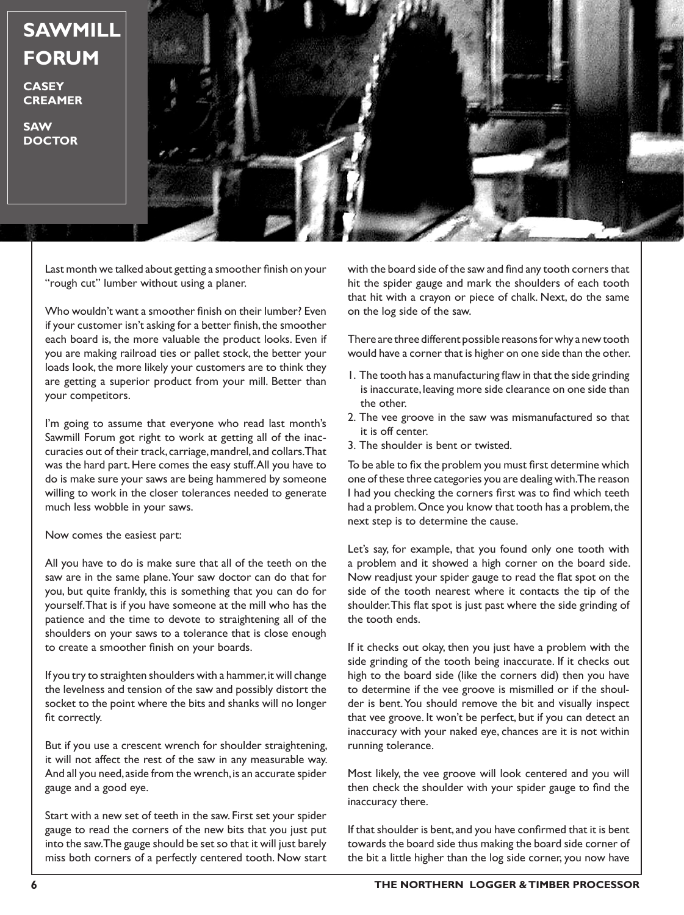**SAWMILL FORUM**

**CASEY CREAMER**

**SAW DOCTOR**



Last month we talked about getting a smoother finish on your "rough cut" lumber without using a planer.

Who wouldn't want a smoother finish on their lumber? Even if your customer isn't asking for a better finish, the smoother each board is, the more valuable the product looks. Even if you are making railroad ties or pallet stock, the better your loads look, the more likely your customers are to think they are getting a superior product from your mill. Better than your competitors.

I'm going to assume that everyone who read last month's Sawmill Forum got right to work at getting all of the inaccuracies out of their track, carriage, mandrel, and collars. That was the hard part. Here comes the easy stuff. All you have to do is make sure your saws are being hammered by someone willing to work in the closer tolerances needed to generate much less wobble in your saws.

Now comes the easiest part:

All you have to do is make sure that all of the teeth on the saw are in the same plane. Your saw doctor can do that for you, but quite frankly, this is something that you can do for yourself. That is if you have someone at the mill who has the patience and the time to devote to straightening all of the shoulders on your saws to a tolerance that is close enough to create a smoother finish on your boards.

If you try to straighten shoulders with a hammer, it will change the levelness and tension of the saw and possibly distort the socket to the point where the bits and shanks will no longer fit correctly.

But if you use a crescent wrench for shoulder straightening, it will not affect the rest of the saw in any measurable way. And all you need, aside from the wrench, is an accurate spider gauge and a good eye.

Start with a new set of teeth in the saw. First set your spider gauge to read the corners of the new bits that you just put into the saw. The gauge should be set so that it will just barely miss both corners of a perfectly centered tooth. Now start

with the board side of the saw and find any tooth corners that hit the spider gauge and mark the shoulders of each tooth that hit with a crayon or piece of chalk. Next, do the same on the log side of the saw.

There are three different possible reasons for why a new tooth would have a corner that is higher on one side than the other.

- 1. The tooth has a manufacturing flaw in that the side grinding is inaccurate, leaving more side clearance on one side than the other.
- 2. The vee groove in the saw was mismanufactured so that it is off center.
- 3. The shoulder is bent or twisted.

To be able to fix the problem you must first determine which one of these three categories you are dealing with. The reason I had you checking the corners first was to find which teeth had a problem. Once you know that tooth has a problem, the next step is to determine the cause.

Let's say, for example, that you found only one tooth with a problem and it showed a high corner on the board side. Now readjust your spider gauge to read the flat spot on the side of the tooth nearest where it contacts the tip of the shoulder. This flat spot is just past where the side grinding of the tooth ends.

If it checks out okay, then you just have a problem with the side grinding of the tooth being inaccurate. If it checks out high to the board side (like the corners did) then you have to determine if the vee groove is mismilled or if the shoulder is bent. You should remove the bit and visually inspect that vee groove. It won't be perfect, but if you can detect an inaccuracy with your naked eye, chances are it is not within running tolerance.

Most likely, the vee groove will look centered and you will then check the shoulder with your spider gauge to find the inaccuracy there.

If that shoulder is bent, and you have confirmed that it is bent towards the board side thus making the board side corner of the bit a little higher than the log side corner, you now have